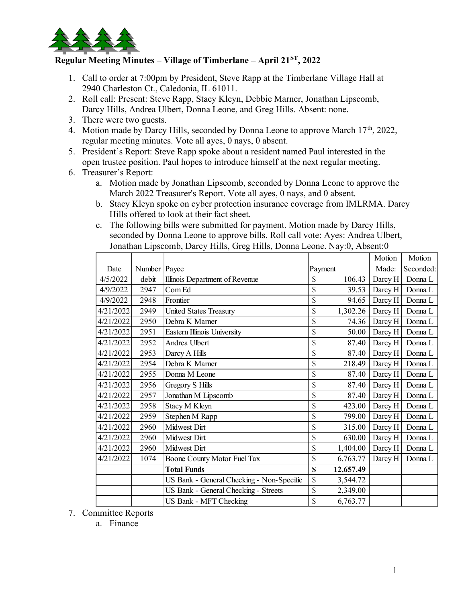

## Regular Meeting Minutes – Village of Timberlane – April  $21<sup>ST</sup>$ , 2022

- 1. Call to order at 7:00pm by President, Steve Rapp at the Timberlane Village Hall at 2940 Charleston Ct., Caledonia, IL 61011.
- 2. Roll call: Present: Steve Rapp, Stacy Kleyn, Debbie Marner, Jonathan Lipscomb, Darcy Hills, Andrea Ulbert, Donna Leone, and Greg Hills. Absent: none.
- 3. There were two guests.
- 4. Motion made by Darcy Hills, seconded by Donna Leone to approve March 17<sup>th</sup>, 2022, regular meeting minutes. Vote all ayes, 0 nays, 0 absent.
- 5. President's Report: Steve Rapp spoke about a resident named Paul interested in the open trustee position. Paul hopes to introduce himself at the next regular meeting.
- 6. Treasurer's Report:
	- a. Motion made by Jonathan Lipscomb, seconded by Donna Leone to approve the March 2022 Treasurer's Report. Vote all ayes, 0 nays, and 0 absent.
	- b. Stacy Kleyn spoke on cyber protection insurance coverage from IMLRMA. Darcy Hills offered to look at their fact sheet.
	- c. The following bills were submitted for payment. Motion made by Darcy Hills, seconded by Donna Leone to approve bills. Roll call vote: Ayes: Andrea Ulbert, Jonathan Lipscomb, Darcy Hills, Greg Hills, Donna Leone. Nay:0, Absent:0

|                      |              | Il to order at 7:00pm by President, Steve Rapp at the Timberlane Village Hall at             |                           |           |                            |                   |
|----------------------|--------------|----------------------------------------------------------------------------------------------|---------------------------|-----------|----------------------------|-------------------|
|                      |              | 40 Charleston Ct., Caledonia, IL 61011.                                                      |                           |           |                            |                   |
|                      |              | ll call: Present: Steve Rapp, Stacy Kleyn, Debbie Marner, Jonathan Lipscomb,                 |                           |           |                            |                   |
|                      |              | rcy Hills, Andrea Ulbert, Donna Leone, and Greg Hills. Absent: none.                         |                           |           |                            |                   |
| ere were two guests. |              |                                                                                              |                           |           |                            |                   |
|                      |              | otion made by Darcy Hills, seconded by Donna Leone to approve March 17 <sup>th</sup> , 2022, |                           |           |                            |                   |
|                      |              | ular meeting minutes. Vote all ayes, 0 nays, 0 absent.                                       |                           |           |                            |                   |
|                      |              | esident's Report: Steve Rapp spoke about a resident named Paul interested in the             |                           |           |                            |                   |
|                      |              | en trustee position. Paul hopes to introduce himself at the next regular meeting.            |                           |           |                            |                   |
| easurer's Report:    |              |                                                                                              |                           |           |                            |                   |
|                      |              | a. Motion made by Jonathan Lipscomb, seconded by Donna Leone to approve the                  |                           |           |                            |                   |
|                      |              | March 2022 Treasurer's Report. Vote all ayes, 0 nays, and 0 absent.                          |                           |           |                            |                   |
|                      |              | b. Stacy Kleyn spoke on cyber protection insurance coverage from IMLRMA. Darcy               |                           |           |                            |                   |
|                      |              | Hills offered to look at their fact sheet.                                                   |                           |           |                            |                   |
|                      |              | c. The following bills were submitted for payment. Motion made by Darcy Hills,               |                           |           |                            |                   |
|                      |              | seconded by Donna Leone to approve bills. Roll call vote: Ayes: Andrea Ulbert,               |                           |           |                            |                   |
|                      |              | Jonathan Lipscomb, Darcy Hills, Greg Hills, Donna Leone. Nay:0, Absent:0                     |                           |           |                            |                   |
|                      |              |                                                                                              |                           |           | Motion                     | Motion            |
| Date                 | Number Payee |                                                                                              | Payment                   |           |                            | Made: Seconded:   |
| 4/5/2022             | debit        | Illinois Department of Revenue                                                               | \$                        | 106.43    | Darcy H                    | Donna L           |
| 4/9/2022             | 2947         | Com Ed                                                                                       | \$                        | 39.53     |                            | Darcy H Donna L   |
| 4/9/2022             | 2948         | Frontier                                                                                     | \$                        | 94.65     | Darcy $H$                  | Donna L           |
| 4/21/2022            | 2949         | United States Treasury                                                                       | \$                        | 1,302.26  | Darcy H                    | Donna L           |
| 4/21/2022            | 2950         | Debra K Marner                                                                               | \$                        | 74.36     | Darcy H                    | Donna L           |
| 4/21/2022            | 2951         | Eastern Illinois University                                                                  | $\mathcal{S}$             | 50.00     |                            | Darcy H   Donna L |
| 4/21/2022            | 2952         | Andrea Ulbert                                                                                | \$                        | 87.40     |                            | Darcy H Donna L   |
| 4/21/2022            | 2953         | Darcy A Hills                                                                                | \$                        | 87.40     | Darcy H                    | Donna L           |
| 4/21/2022            | 2954         | Debra K Marner                                                                               | \$                        | 218.49    | Darcy H                    | Donna L           |
| 4/21/2022            | 2955         | Donna M Leone                                                                                | \$                        | 87.40     |                            | Darcy H   Donna L |
| 4/21/2022            | 2956         | Gregory S Hills                                                                              | $\mathcal{S}$             | 87.40     | Darcy $H$                  | Donna L           |
| 4/21/2022            | 2957         | Jonathan M Lipscomb                                                                          | \$                        | 87.40     | Darcy H                    | Donna L           |
| 4/21/2022            | 2958         | Stacy M Kleyn                                                                                | $\mathcal{S}$             | 423.00    |                            | Darcy H Donna L   |
| 4/21/2022            | 2959         | Stephen M Rapp                                                                               | \$                        |           | 799.00   Darcy H   Donna L |                   |
| 4/21/2022            | 2960         | Midwest Dirt                                                                                 | \$                        | 315.00    | Darcy H                    | Donna L           |
| 4/21/2022            | 2960         | Midwest Dirt                                                                                 | \$                        | 630.00    | Darcy $H$                  | Donna L           |
| 4/21/2022            | 2960         | Midwest Dirt                                                                                 | \$                        | 1,404.00  | Darcy H                    | Donna L           |
| 4/21/2022            | 1074         | Boone County Motor Fuel Tax                                                                  | \$                        | 6,763.77  | Darcy $H$                  | Donna L           |
|                      |              | <b>Total Funds</b>                                                                           | $\boldsymbol{\mathsf{S}}$ | 12,657.49 |                            |                   |
|                      |              | US Bank - General Checking - Non-Specific                                                    | \$                        | 3,544.72  |                            |                   |
|                      |              | US Bank - General Checking - Streets                                                         | \$                        | 2,349.00  |                            |                   |
|                      |              | US Bank - MFT Checking                                                                       | $\mathcal{S}$             | 6,763.77  |                            |                   |
|                      |              |                                                                                              |                           |           |                            |                   |

7. Committee Reports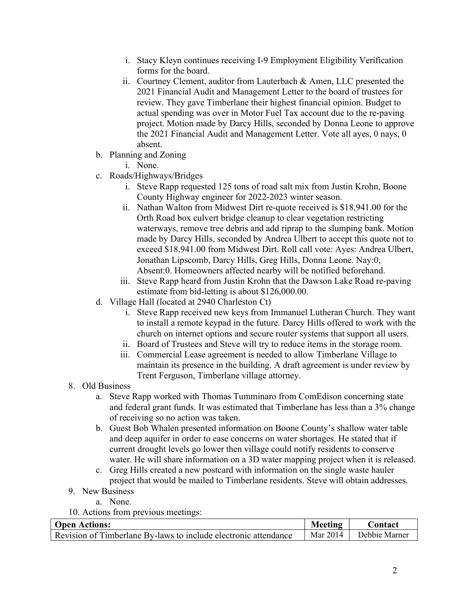- i. Stacy Kleyn continues receiving I-9 Employment Eligibility Verification forms for the board.
- ii. Courtney Clement, auditor from Lauterbach & Amen, LLC presented the 2021 Financial Audit and Management Letter to the board of trustees for review. They gave Timberlane their highest financial opinion. Budget to actual spending was over in Motor Fuel Tax account due to the re-paving project. Motion made by Darcy Hills, seconded by Donna Leone to approve the 2021 Financial Audit and Management Letter. Vote all ayes, 0 nays, 0 absent.
- b. Planning and Zoning
	- i. None.
- c. Roads/Highways/Bridges
	- i. Steve Rapp requested 125 tons of road salt mix from Justin Krohn, Boone County Highway engineer for 2022-2023 winter season.
	- ii. Nathan Walton from Midwest Dirt re-quote received is \$18,941.00 for the Orth Road box culvert bridge cleanup to clear vegetation restricting waterways, remove tree debris and add riprap to the slumping bank. Motion made by Darcy Hills, seconded by Andrea Ulbert to accept this quote not to exceed \$18,941.00 from Midwest Dirt. Roll call vote: Ayes: Andrea Ulbert, Jonathan Lipscomb, Darcy Hills, Greg Hills, Donna Leone. Nay:0, Absent:0. Homeowners affected nearby will be notified beforehand.
	- iii. Steve Rapp heard from Justin Krohn that the Dawson Lake Road re-paving estimate from bid-letting is about \$126,000.00.
- d. Village Hall (located at 2940 Charleston Ct)
	- i. Steve Rapp received new keys from Immanuel Lutheran Church. They want to install a remote keypad in the future. Darcy Hills offered to work with the church on internet options and secure router systems that support all users.
	- ii. Board of Trustees and Steve will try to reduce items in the storage room.
	- iii. Commercial Lease agreement is needed to allow Timberlane Village to maintain its presence in the building. A draft agreement is under review by Trent Ferguson, Timberlane village attorney.
- 8. Old Business
	- a. Steve Rapp worked with Thomas Tumminaro from ComEdison concerning state and federal grant funds. It was estimated that Timberlane has less than a 3% change of receiving so no action was taken.
	- b. Guest Bob Whalen presented information on Boone County's shallow water table and deep aquifer in order to ease concerns on water shortages. He stated that if current drought levels go lower then village could notify residents to conserve water. He will share information on a 3D water mapping project when it is released.
	- c. Greg Hills created a new postcard with information on the single waste hauler project that would be mailed to Timberlane residents. Steve will obtain addresses.
- 9. New Business
	- a. None.
- 10. Actions from previous meetings:

| <b>Open Actions:</b>                                            | Meeting | <b>Contact</b>           |
|-----------------------------------------------------------------|---------|--------------------------|
| Revision of Timberlane By-laws to include electronic attendance |         | Mar 2014   Debbie Marner |